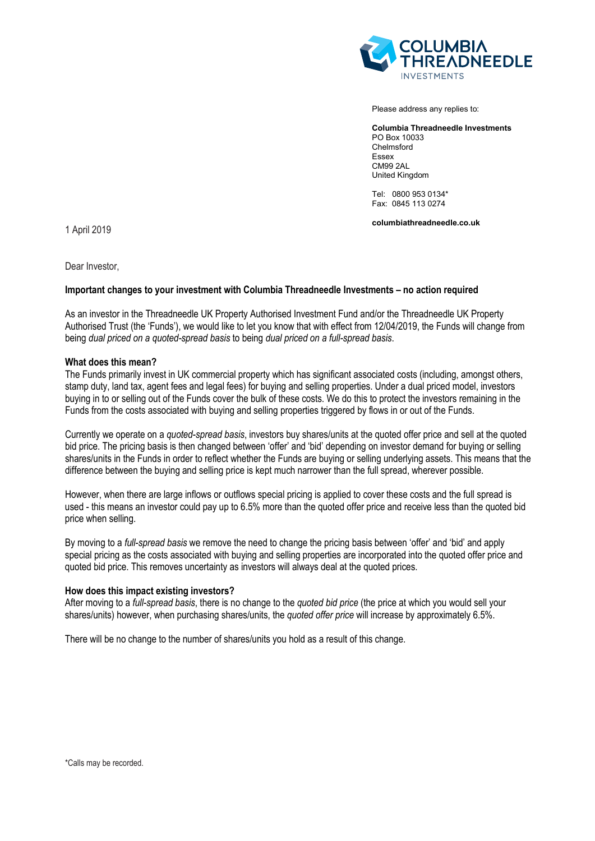

Please address any replies to:

**Columbia Threadneedle Investments** PO Box 10033 Chelmsford Essex CM99 2AL United Kingdom

Tel: 0800 953 0134\* Fax: 0845 113 0274

**columbiathreadneedle.co.uk**

1 April 2019

Dear Investor,

# **Important changes to your investment with Columbia Threadneedle Investments – no action required**

As an investor in the Threadneedle UK Property Authorised Investment Fund and/or the Threadneedle UK Property Authorised Trust (the 'Funds'), we would like to let you know that with effect from 12/04/2019, the Funds will change from being *dual priced on a quoted-spread basis* to being *dual priced on a full-spread basis*.

### **What does this mean?**

The Funds primarily invest in UK commercial property which has significant associated costs (including, amongst others, stamp duty, land tax, agent fees and legal fees) for buying and selling properties. Under a dual priced model, investors buying in to or selling out of the Funds cover the bulk of these costs. We do this to protect the investors remaining in the Funds from the costs associated with buying and selling properties triggered by flows in or out of the Funds.

Currently we operate on a *quoted-spread basis*, investors buy shares/units at the quoted offer price and sell at the quoted bid price. The pricing basis is then changed between 'offer' and 'bid' depending on investor demand for buying or selling shares/units in the Funds in order to reflect whether the Funds are buying or selling underlying assets. This means that the difference between the buying and selling price is kept much narrower than the full spread, wherever possible.

However, when there are large inflows or outflows special pricing is applied to cover these costs and the full spread is used - this means an investor could pay up to 6.5% more than the quoted offer price and receive less than the quoted bid price when selling.

By moving to a *full-spread basis* we remove the need to change the pricing basis between 'offer' and 'bid' and apply special pricing as the costs associated with buying and selling properties are incorporated into the quoted offer price and quoted bid price. This removes uncertainty as investors will always deal at the quoted prices.

#### **How does this impact existing investors?**

After moving to a *full-spread basis*, there is no change to the *quoted bid price* (the price at which you would sell your shares/units) however, when purchasing shares/units, the *quoted offer price* will increase by approximately 6.5%.

There will be no change to the number of shares/units you hold as a result of this change.